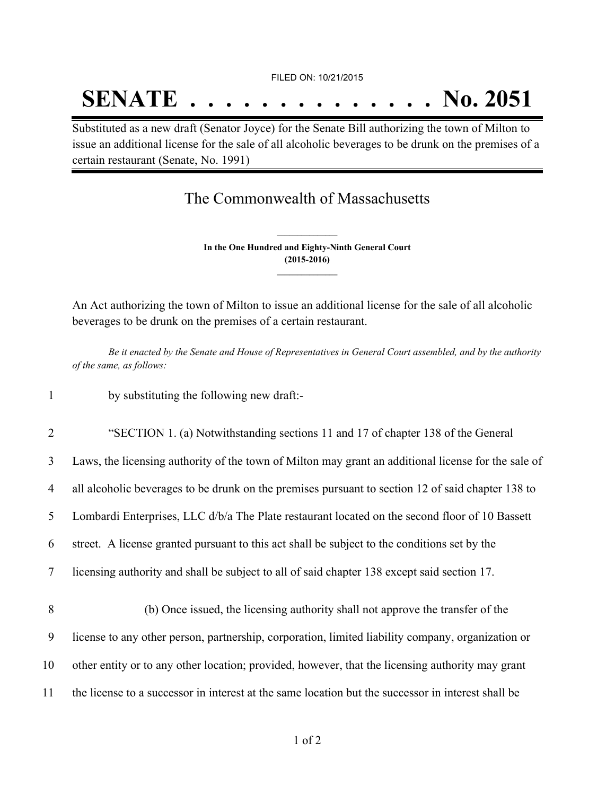FILED ON: 10/21/2015

## **SENATE . . . . . . . . . . . . . . No. 2051**

Substituted as a new draft (Senator Joyce) for the Senate Bill authorizing the town of Milton to issue an additional license for the sale of all alcoholic beverages to be drunk on the premises of a certain restaurant (Senate, No. 1991)

The Commonwealth of Massachusetts

**In the One Hundred and Eighty-Ninth General Court (2015-2016) \_\_\_\_\_\_\_\_\_\_\_\_\_\_\_**

**\_\_\_\_\_\_\_\_\_\_\_\_\_\_\_**

An Act authorizing the town of Milton to issue an additional license for the sale of all alcoholic beverages to be drunk on the premises of a certain restaurant.

Be it enacted by the Senate and House of Representatives in General Court assembled, and by the authority *of the same, as follows:*

1 by substituting the following new draft:-

2 "SECTION 1. (a) Notwithstanding sections 11 and 17 of chapter 138 of the General

3 Laws, the licensing authority of the town of Milton may grant an additional license for the sale of

4 all alcoholic beverages to be drunk on the premises pursuant to section 12 of said chapter 138 to

5 Lombardi Enterprises, LLC d/b/a The Plate restaurant located on the second floor of 10 Bassett

6 street. A license granted pursuant to this act shall be subject to the conditions set by the

- 7 licensing authority and shall be subject to all of said chapter 138 except said section 17.
- 8 (b) Once issued, the licensing authority shall not approve the transfer of the 9 license to any other person, partnership, corporation, limited liability company, organization or 10 other entity or to any other location; provided, however, that the licensing authority may grant 11 the license to a successor in interest at the same location but the successor in interest shall be